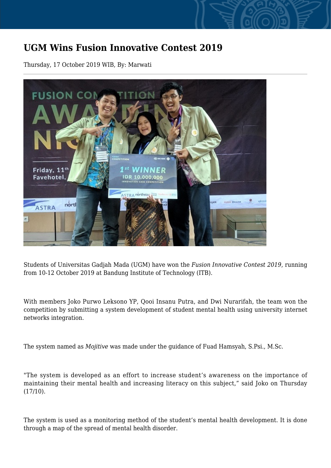## **UGM Wins Fusion Innovative Contest 2019**

Thursday, 17 October 2019 WIB, By: Marwati



Students of Universitas Gadjah Mada (UGM) have won the *Fusion Innovative Contest 2019*, running from 10-12 October 2019 at Bandung Institute of Technology (ITB).

With members Joko Purwo Leksono YP, Qooi Insanu Putra, and Dwi Nurarifah, the team won the competition by submitting a system development of student mental health using university internet networks integration.

The system named as *Mojitive* was made under the guidance of Fuad Hamsyah, S.Psi., M.Sc.

"The system is developed as an effort to increase student's awareness on the importance of maintaining their mental health and increasing literacy on this subject," said Joko on Thursday  $(17/10).$ 

The system is used as a monitoring method of the student's mental health development. It is done through a map of the spread of mental health disorder.